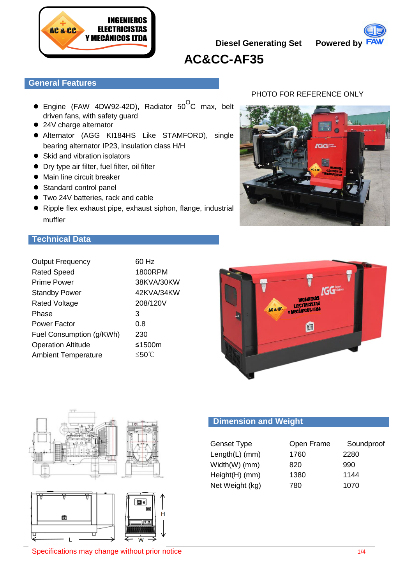

**Diesel Generating Set Powered by**



# **AC&CC-AF35**

## **General Features**

- $\bullet$  Engine (FAW 4DW92-42D), Radiator 50<sup>O</sup>C max, belt driven fans, with safety guard
- 24V charge alternator
- Alternator (AGG KI184HS Like STAMFORD), single bearing alternator IP23, insulation class H/H
- Skid and vibration isolators
- Dry type air filter, fuel filter, oil filter
- $\bullet$  Main line circuit breaker
- Standard control panel
- Two 24V batteries, rack and cable
- Ripple flex exhaust pipe, exhaust siphon, flange, industrial muffler

## PHOTO FOR REFERENCE ONLY



## **Technical Data**

| <b>Output Frequency</b>    | 60 Hz      |
|----------------------------|------------|
| <b>Rated Speed</b>         | 1800RPM    |
| <b>Prime Power</b>         | 38KVA/30KW |
| <b>Standby Power</b>       | 42KVA/34KW |
| <b>Rated Voltage</b>       | 208/120V   |
| Phase                      | 3          |
| Power Factor               | 0.8        |
| Fuel Consumption (g/KWh)   | 230        |
| <b>Operation Altitude</b>  | ≤1500m     |
| <b>Ambient Temperature</b> | ≤50℃       |
|                            |            |







## **Dimension and Weight**

| <b>Genset Type</b> | Open Frame | Soundproof |
|--------------------|------------|------------|
| $Length(L)$ (mm)   | 1760       | 2280       |
| Width(W) (mm)      | 820        | 990        |
| Height(H) (mm)     | 1380       | 1144       |
| Net Weight (kg)    | 780        | 1070       |

Specifications may change without prior notice 1/4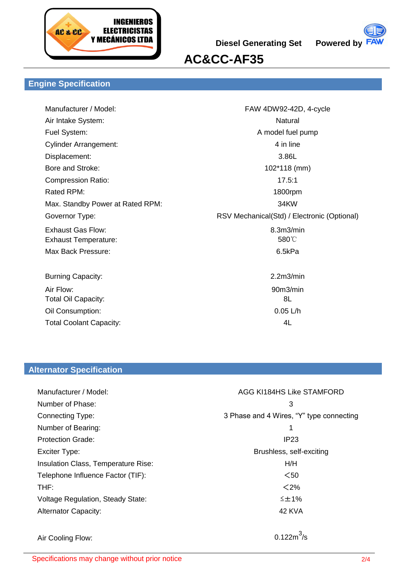

**Diesel Generating Set Powered by**



# **AC&CC-AF35**

## **Engine Specification**

| Manufacturer / Model:            | FAW 4DW92-42D, 4-cycle                      |
|----------------------------------|---------------------------------------------|
| Air Intake System:               | Natural                                     |
| Fuel System:                     | A model fuel pump                           |
| <b>Cylinder Arrangement:</b>     | 4 in line                                   |
| Displacement:                    | 3.86L                                       |
| Bore and Stroke:                 | 102*118 (mm)                                |
| <b>Compression Ratio:</b>        | 17.5:1                                      |
| Rated RPM:                       | 1800rpm                                     |
| Max. Standby Power at Rated RPM: | 34KW                                        |
| Governor Type:                   | RSV Mechanical(Std) / Electronic (Optional) |
| <b>Exhaust Gas Flow:</b>         | 8.3m3/min                                   |
| <b>Exhaust Temperature:</b>      | 580°C                                       |
| Max Back Pressure:               | 6.5kPa                                      |
|                                  |                                             |
| <b>Burning Capacity:</b>         | 2.2m3/min                                   |
| Air Flow:                        | 90m3/min                                    |
| <b>Total Oil Capacity:</b>       | 8L                                          |
| Oil Consumption:                 | $0.05$ L/h                                  |
| <b>Total Coolant Capacity:</b>   | 4L                                          |
|                                  |                                             |

## **Alternator Specification**

| Manufacturer / Model:                    | AGG KI184HS Like STAMFORD                |  |
|------------------------------------------|------------------------------------------|--|
| Number of Phase:                         | 3                                        |  |
| <b>Connecting Type:</b>                  | 3 Phase and 4 Wires, "Y" type connecting |  |
| Number of Bearing:                       | 1                                        |  |
| <b>Protection Grade:</b>                 | IP <sub>23</sub>                         |  |
| Exciter Type:                            | Brushless, self-exciting                 |  |
| Insulation Class, Temperature Rise:      | H/H                                      |  |
| Telephone Influence Factor (TIF):        | $50$                                     |  |
| THF:                                     | < 2%                                     |  |
| <b>Voltage Regulation, Steady State:</b> | ≤±1%                                     |  |
| <b>Alternator Capacity:</b>              | 42 KVA                                   |  |
|                                          |                                          |  |
| Air Cooling Flow:                        |                                          |  |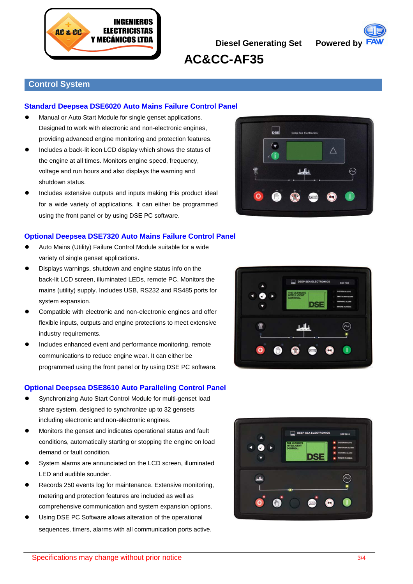



**AC&CC-AF35**

## **Control System**

### **Standard Deepsea DSE6020 Auto Mains Failure Control Panel**

- Manual or Auto Start Module for single genset applications. Designed to work with electronic and non-electronic engines, providing advanced engine monitoring and protection features.
- Includes a back-lit icon LCD display which shows the status of the engine at all times. Monitors engine speed, frequency, voltage and run hours and also displays the warning and shutdown status.
- Includes extensive outputs and inputs making this product ideal for a wide variety of applications. It can either be programmed using the front panel or by using DSE PC software.

### **Optional Deepsea DSE7320 Auto Mains Failure Control Panel**

- Auto Mains (Utility) Failure Control Module suitable for a wide variety of single genset applications.
- Displays warnings, shutdown and engine status info on the back-lit LCD screen, illuminated LEDs, remote PC. Monitors the mains (utility) supply. Includes USB, RS232 and RS485 ports for system expansion.
- Compatible with electronic and non-electronic engines and offer flexible inputs, outputs and engine protections to meet extensive industry requirements.
- Includes enhanced event and performance monitoring, remote communications to reduce engine wear. It can either be programmed using the front panel or by using DSE PC software.

### **Optional Deepsea DSE8610 Auto Paralleling Control Panel**

- Synchronizing Auto Start Control Module for multi-genset load share system, designed to synchronize up to 32 gensets including electronic and non-electronic engines.
- Monitors the genset and indicates operational status and fault conditions, automatically starting or stopping the engine on load demand or fault condition.
- System alarms are annunciated on the LCD screen, illuminated LED and audible sounder.
- Records 250 events log for maintenance. Extensive monitoring, metering and protection features are included as well as comprehensive communication and system expansion options.
- Using DSE PC Software allows alteration of the operational sequences, timers, alarms with all communication ports active.